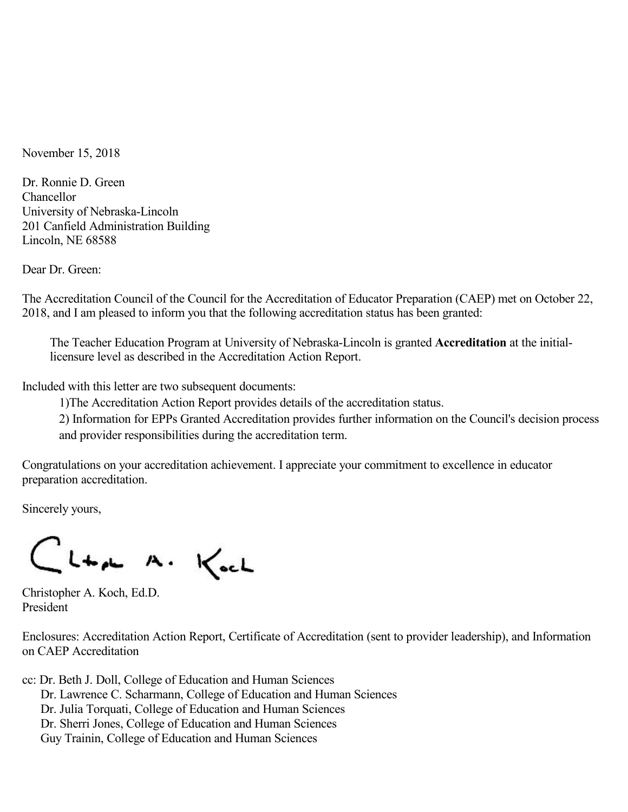November 15, 2018

Dr. Ronnie D. Green Chancellor University of Nebraska-Lincoln 201 Canfield Administration Building Lincoln, NE 68588

Dear Dr. Green:

The Accreditation Council of the Council for the Accreditation of Educator Preparation (CAEP) met on October 22, 2018, and Iam pleased to inform you that the following accreditation status has been granted:

The Teacher Education Program at University of Nebraska-Lincoln is granted **Accreditation** at the initiallicensure level as described in the Accreditation Action Report.

Included with this letter are two subsequent documents:

1)The Accreditation Action Report provides details of the accreditation status.

2) Information for EPPs Granted Accreditation provides further information on the Council's decision process and provider responsibilities during the accreditation term.

Congratulations on your accreditation achievement. I appreciate your commitment to excellence in educator preparation accreditation.

Sincerely yours,

CLta A. Koch

Christopher A. Koch, Ed.D. President

Enclosures: Accreditation Action Report, Certificate of Accreditation (sent to provider leadership), and Information on CAEP Accreditation

cc: Dr. Beth J. Doll, College of Education and Human Sciences Dr. Lawrence C. Scharmann, College of Education and Human Sciences Dr. Julia Torquati, College of Education and Human Sciences Dr. Sherri Jones, College of Education and Human Sciences Guy Trainin, College of Education and Human Sciences